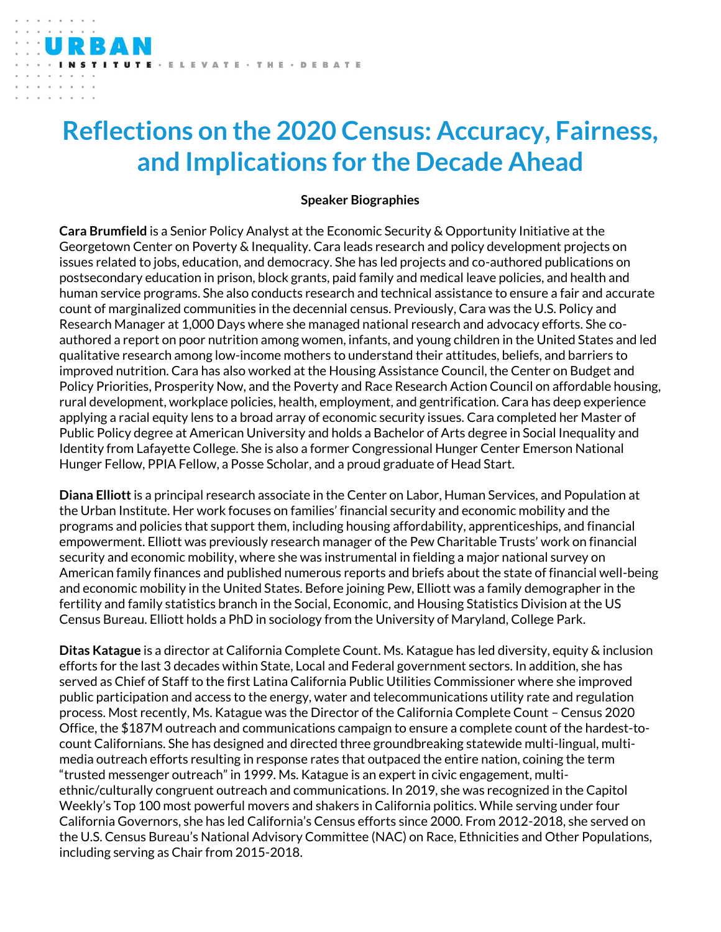## **Reflections on the 2020 Census: Accuracy, Fairness, and Implications for the Decade Ahead**

## **Speaker Biographies**

**Cara Brumfield** is a Senior Policy Analyst at the Economic Security & Opportunity Initiative at the Georgetown Center on Poverty & Inequality. Cara leads research and policy development projects on issues related to jobs, education, and democracy. She has led projects and co-authored publications on postsecondary education in prison, block grants, paid family and medical leave policies, and health and human service programs. She also conducts research and technical assistance to ensure a fair and accurate count of marginalized communities in the decennial census. Previously, Cara was the U.S. Policy and Research Manager at 1,000 Days where she managed national research and advocacy efforts. She coauthored a report on poor nutrition among women, infants, and young children in the United States and led qualitative research among low-income mothers to understand their attitudes, beliefs, and barriers to improved nutrition. Cara has also worked at the Housing Assistance Council, the Center on Budget and Policy Priorities, Prosperity Now, and the Poverty and Race Research Action Council on affordable housing, rural development, workplace policies, health, employment, and gentrification. Cara has deep experience applying a racial equity lens to a broad array of economic security issues. Cara completed her Master of Public Policy degree at American University and holds a Bachelor of Arts degree in Social Inequality and Identity from Lafayette College. She is also a former Congressional Hunger Center Emerson National Hunger Fellow, PPIA Fellow, a Posse Scholar, and a proud graduate of Head Start.

**Diana Elliott** is a principal research associate in the Center on Labor, Human Services, and Population at the Urban Institute. Her work focuses on families' financial security and economic mobility and the programs and policies that support them, including housing affordability, apprenticeships, and financial empowerment. Elliott was previously research manager of the Pew Charitable Trusts' work on financial security and economic mobility, where she was instrumental in fielding a major national survey on American family finances and published numerous reports and briefs about the state of financial well-being and economic mobility in the United States. Before joining Pew, Elliott was a family demographer in the fertility and family statistics branch in the Social, Economic, and Housing Statistics Division at the US Census Bureau. Elliott holds a PhD in sociology from the University of Maryland, College Park.

**Ditas Katague** is a director at California Complete Count. Ms. Katague has led diversity, equity & inclusion efforts for the last 3 decades within State, Local and Federal government sectors. In addition, she has served as Chief of Staff to the first Latina California Public Utilities Commissioner where she improved public participation and access to the energy, water and telecommunications utility rate and regulation process. Most recently, Ms. Katague was the Director of the California Complete Count – Census 2020 Office, the \$187M outreach and communications campaign to ensure a complete count of the hardest-tocount Californians. She has designed and directed three groundbreaking statewide multi-lingual, multimedia outreach efforts resulting in response rates that outpaced the entire nation, coining the term "trusted messenger outreach" in 1999. Ms. Katague is an expert in civic engagement, multiethnic/culturally congruent outreach and communications. In 2019, she was recognized in the Capitol Weekly's Top 100 most powerful movers and shakers in California politics. While serving under four California Governors, she has led California's Census efforts since 2000. From 2012-2018, she served on the U.S. Census Bureau's National Advisory Committee (NAC) on Race, Ethnicities and Other Populations, including serving as Chair from 2015-2018.